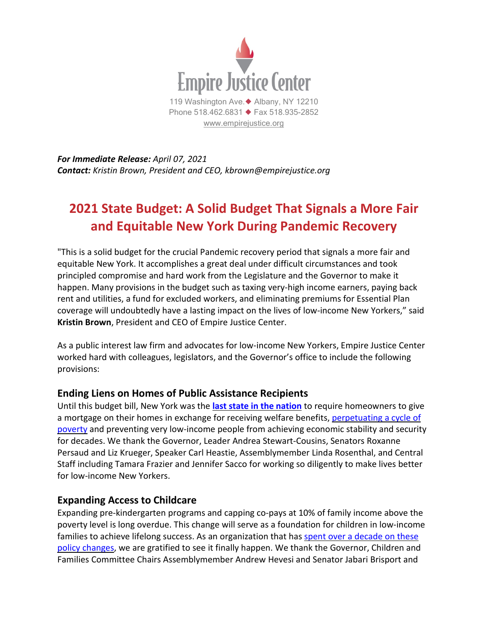

*For Immediate Release: April 07, 2021 Contact: Kristin Brown, President and CEO, kbrown@empirejustice.org*

# **2021 State Budget: A Solid Budget That Signals a More Fair and Equitable New York During Pandemic Recovery**

"This is a solid budget for the crucial Pandemic recovery period that signals a more fair and equitable New York. It accomplishes a great deal under difficult circumstances and took principled compromise and hard work from the Legislature and the Governor to make it happen. Many provisions in the budget such as taxing very-high income earners, paying back rent and utilities, a fund for excluded workers, and eliminating premiums for Essential Plan coverage will undoubtedly have a lasting impact on the lives of low-income New Yorkers," said **Kristin Brown**, President and CEO of Empire Justice Center.

As a public interest law firm and advocates for low-income New Yorkers, Empire Justice Center worked hard with colleagues, legislators, and the Governor's office to include the following provisions:

#### **Ending Liens on Homes of Public Assistance Recipients**

Until this budget bill, New York was the **last state in the [nation](https://empirejustice.org/news/statement-new-york-state-repeals-welfare-lien-laws/)** to require homeowners to give a mortgage on their homes in exchange for receiving welfare benefits, [perpetuating](https://empirejustice.org/wp-content/uploads/2018/01/dont-lien-on-me-rev-2.pdf) a cycle of [poverty](https://empirejustice.org/wp-content/uploads/2018/01/dont-lien-on-me-rev-2.pdf) and preventing very low-income people from achieving economic stability and security for decades. We thank the Governor, Leader Andrea Stewart-Cousins, Senators Roxanne Persaud and Liz Krueger, Speaker Carl Heastie, Assemblymember Linda Rosenthal, and Central Staff including Tamara Frazier and Jennifer Sacco for working so diligently to make lives better for low-income New Yorkers.

#### **Expanding Access to Childcare**

Expanding pre-kindergarten programs and capping co-pays at 10% of family income above the poverty level is long overdue. This change will serve as a foundation for children in low-income families to achieve lifelong success. As an organization that has spent over a [decade](https://empirejustice.org/issuesareas_category/child-care/) on these policy [changes,](https://empirejustice.org/issuesareas_category/child-care/) we are gratified to see it finally happen. We thank the Governor, Children and Families Committee Chairs Assemblymember Andrew Hevesi and Senator Jabari Brisport and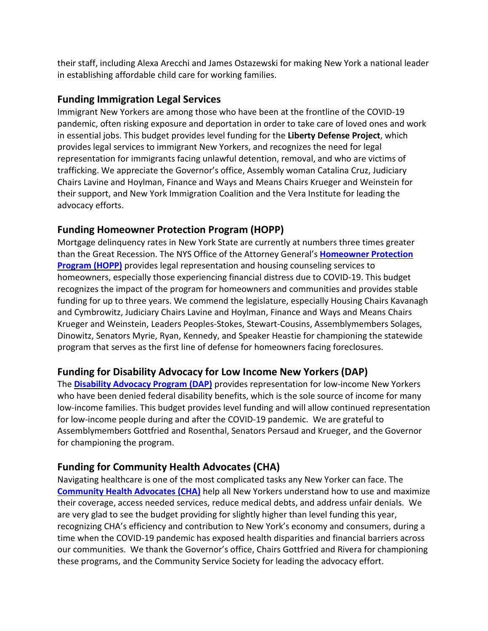their staff, including Alexa Arecchi and James Ostazewski for making New York a national leader in establishing affordable child care for working families.

#### **Funding Immigration Legal Services**

Immigrant New Yorkers are among those who have been at the frontline of the COVID-19 pandemic, often risking exposure and deportation in order to take care of loved ones and work in essential jobs. This budget provides level funding for the **Liberty Defense Project**, which provides legal services to immigrant New Yorkers, and recognizes the need for legal representation for immigrants facing unlawful detention, removal, and who are victims of trafficking. We appreciate the Governor's office, Assembly woman Catalina Cruz, Judiciary Chairs Lavine and Hoylman, Finance and Ways and Means Chairs Krueger and Weinstein for their support, and New York Immigration Coalition and the Vera Institute for leading the advocacy efforts.

# **Funding Homeowner Protection Program (HOPP)**

Mortgage delinquency rates in New York State are currently at numbers three times greater than the Great Recession. The NYS Office of the Attorney General's **[Homeowner](https://fundhopp.org/) Protection [Program](https://fundhopp.org/) (HOPP)** provides legal representation and housing counseling services to homeowners, especially those experiencing financial distress due to COVID-19. This budget recognizes the impact of the program for homeowners and communities and provides stable funding for up to three years. We commend the legislature, especially Housing Chairs Kavanagh and Cymbrowitz, Judiciary Chairs Lavine and Hoylman, Finance and Ways and Means Chairs Krueger and Weinstein, Leaders Peoples-Stokes, Stewart-Cousins, Assemblymembers Solages, Dinowitz, Senators Myrie, Ryan, Kennedy, and Speaker Heastie for championing the statewide program that serves as the first line of defense for homeowners facing foreclosures.

## **Funding for Disability Advocacy for Low Income New Yorkers (DAP)**

The **Disability [Advocacy](https://empirejustice.org/wp-content/uploads/2021/03/DAPFacts-2021.pdf) Program (DAP)** provides representation for low-income New Yorkers who have been denied federal disability benefits, which is the sole source of income for many low-income families. This budget provides level funding and will allow continued representation for low-income people during and after the COVID-19 pandemic. We are grateful to Assemblymembers Gottfried and Rosenthal, Senators Persaud and Krueger, and the Governor for championing the program.

## **Funding for Community Health Advocates (CHA)**

Navigating healthcare is one of the most complicated tasks any New Yorker can face. The **[Community](https://communityhealthadvocates.org/) Health Advocates (CHA)** help all New Yorkers understand how to use and maximize their coverage, access needed services, reduce medical debts, and address unfair denials. We are very glad to see the budget providing for slightly higher than level funding this year, recognizing CHA's efficiency and contribution to New York's economy and consumers, during a time when the COVID-19 pandemic has exposed health disparities and financial barriers across our communities. We thank the Governor's office, Chairs Gottfried and Rivera for championing these programs, and the Community Service Society for leading the advocacy effort.